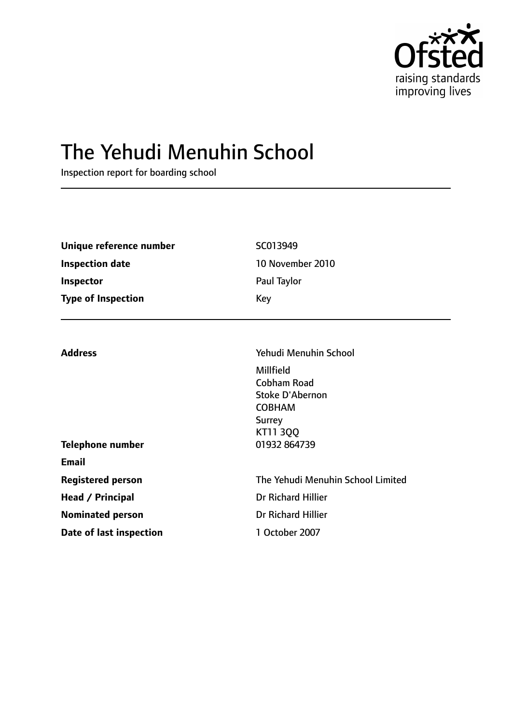

# The Yehudi Menuhin School

Inspection report for boarding school

| Unique reference number   | SC013949              |  |
|---------------------------|-----------------------|--|
| <b>Inspection date</b>    | 10 November 2010      |  |
| Inspector                 | Paul Taylor           |  |
| <b>Type of Inspection</b> | Key                   |  |
| <b>Address</b>            | Yehudi Menuhin School |  |
|                           | Millfield             |  |

Cobham Road

|                          | Stoke D'Abernon<br><b>COBHAM</b><br><b>Surrey</b><br><b>KT11 3QQ</b> |
|--------------------------|----------------------------------------------------------------------|
| Telephone number         | 01932 864739                                                         |
| <b>Email</b>             |                                                                      |
| <b>Registered person</b> | The Yehudi Menuhin School Limited                                    |
| Head / Principal         | <b>Dr Richard Hillier</b>                                            |
| <b>Nominated person</b>  | Dr Richard Hillier                                                   |
| Date of last inspection  | 1 October 2007                                                       |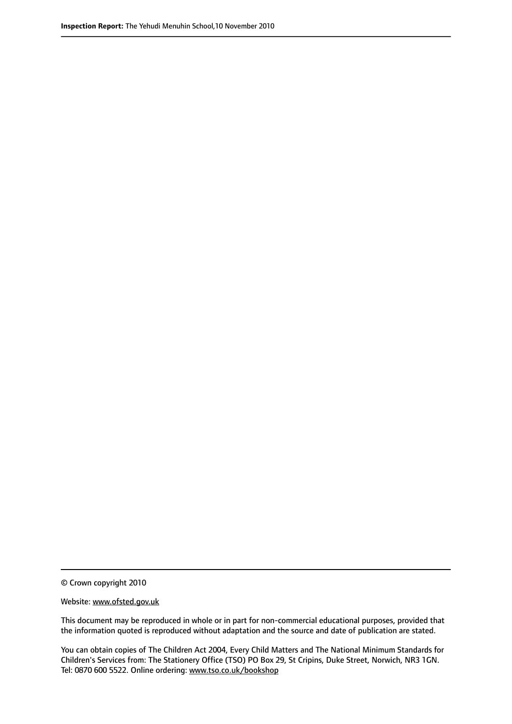© Crown copyright 2010

Website: www.ofsted.gov.uk

This document may be reproduced in whole or in part for non-commercial educational purposes, provided that the information quoted is reproduced without adaptation and the source and date of publication are stated.

You can obtain copies of The Children Act 2004, Every Child Matters and The National Minimum Standards for Children's Services from: The Stationery Office (TSO) PO Box 29, St Cripins, Duke Street, Norwich, NR3 1GN. Tel: 0870 600 5522. Online ordering: www.tso.co.uk/bookshop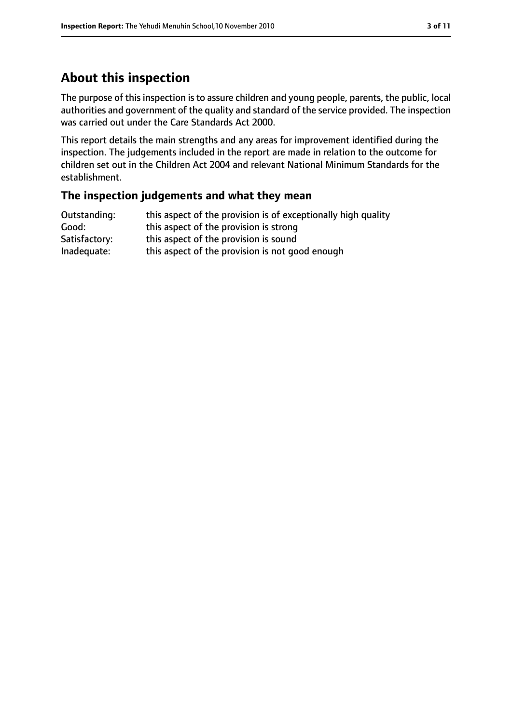## **About this inspection**

The purpose of this inspection is to assure children and young people, parents, the public, local authorities and government of the quality and standard of the service provided. The inspection was carried out under the Care Standards Act 2000.

This report details the main strengths and any areas for improvement identified during the inspection. The judgements included in the report are made in relation to the outcome for children set out in the Children Act 2004 and relevant National Minimum Standards for the establishment.

#### **The inspection judgements and what they mean**

| Outstanding:  | this aspect of the provision is of exceptionally high quality |
|---------------|---------------------------------------------------------------|
| Good:         | this aspect of the provision is strong                        |
| Satisfactory: | this aspect of the provision is sound                         |
| Inadequate:   | this aspect of the provision is not good enough               |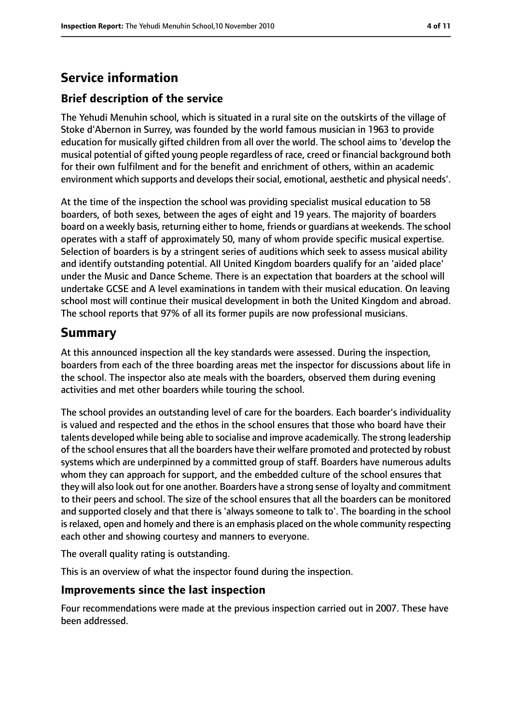## **Service information**

### **Brief description of the service**

The Yehudi Menuhin school, which is situated in a rural site on the outskirts of the village of Stoke d'Abernon in Surrey, was founded by the world famous musician in 1963 to provide education for musically gifted children from all over the world. The school aims to 'develop the musical potential of gifted young people regardless of race, creed or financial background both for their own fulfilment and for the benefit and enrichment of others, within an academic environment which supports and develops their social, emotional, aesthetic and physical needs'.

At the time of the inspection the school was providing specialist musical education to 58 boarders, of both sexes, between the ages of eight and 19 years. The majority of boarders board on a weekly basis, returning either to home, friends or guardians at weekends. The school operates with a staff of approximately 50, many of whom provide specific musical expertise. Selection of boarders is by a stringent series of auditions which seek to assess musical ability and identify outstanding potential. All United Kingdom boarders qualify for an 'aided place' under the Music and Dance Scheme. There is an expectation that boarders at the school will undertake GCSE and A level examinations in tandem with their musical education. On leaving school most will continue their musical development in both the United Kingdom and abroad. The school reports that 97% of all its former pupils are now professional musicians.

## **Summary**

At this announced inspection all the key standards were assessed. During the inspection, boarders from each of the three boarding areas met the inspector for discussions about life in the school. The inspector also ate meals with the boarders, observed them during evening activities and met other boarders while touring the school.

The school provides an outstanding level of care for the boarders. Each boarder's individuality is valued and respected and the ethos in the school ensures that those who board have their talents developed while being able to socialise and improve academically. The strong leadership of the school ensuresthat all the boarders have their welfare promoted and protected by robust systems which are underpinned by a committed group of staff. Boarders have numerous adults whom they can approach for support, and the embedded culture of the school ensures that they will also look out for one another. Boarders have a strong sense of loyalty and commitment to their peers and school. The size of the school ensures that all the boarders can be monitored and supported closely and that there is 'always someone to talk to'. The boarding in the school isrelaxed, open and homely and there is an emphasis placed on the whole community respecting each other and showing courtesy and manners to everyone.

The overall quality rating is outstanding.

This is an overview of what the inspector found during the inspection.

#### **Improvements since the last inspection**

Four recommendations were made at the previous inspection carried out in 2007. These have been addressed.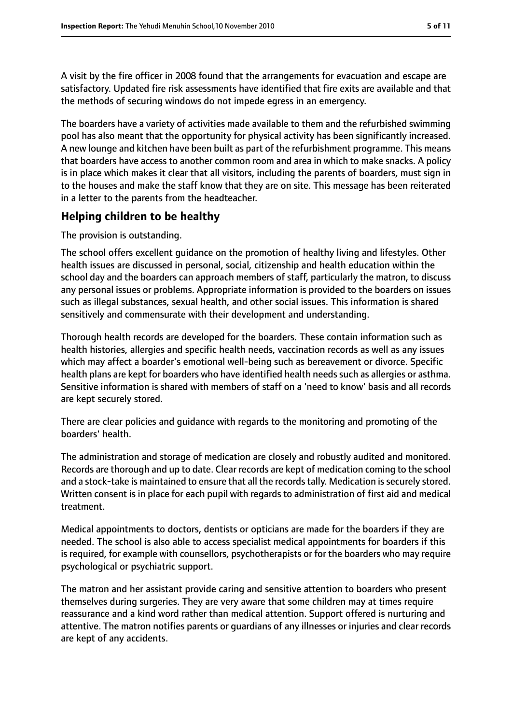A visit by the fire officer in 2008 found that the arrangements for evacuation and escape are satisfactory. Updated fire risk assessments have identified that fire exits are available and that the methods of securing windows do not impede egress in an emergency.

The boarders have a variety of activities made available to them and the refurbished swimming pool has also meant that the opportunity for physical activity has been significantly increased. A new lounge and kitchen have been built as part of the refurbishment programme. This means that boarders have access to another common room and area in which to make snacks. A policy is in place which makes it clear that all visitors, including the parents of boarders, must sign in to the houses and make the staff know that they are on site. This message has been reiterated in a letter to the parents from the headteacher.

#### **Helping children to be healthy**

The provision is outstanding.

The school offers excellent guidance on the promotion of healthy living and lifestyles. Other health issues are discussed in personal, social, citizenship and health education within the school day and the boarders can approach members of staff, particularly the matron, to discuss any personal issues or problems. Appropriate information is provided to the boarders on issues such as illegal substances, sexual health, and other social issues. This information is shared sensitively and commensurate with their development and understanding.

Thorough health records are developed for the boarders. These contain information such as health histories, allergies and specific health needs, vaccination records as well as any issues which may affect a boarder's emotional well-being such as bereavement or divorce. Specific health plans are kept for boarders who have identified health needs such as allergies or asthma. Sensitive information is shared with members of staff on a 'need to know' basis and all records are kept securely stored.

There are clear policies and guidance with regards to the monitoring and promoting of the boarders' health.

The administration and storage of medication are closely and robustly audited and monitored. Records are thorough and up to date. Clear records are kept of medication coming to the school and a stock-take is maintained to ensure that all the records tally. Medication is securely stored. Written consent is in place for each pupil with regards to administration of first aid and medical treatment.

Medical appointments to doctors, dentists or opticians are made for the boarders if they are needed. The school is also able to access specialist medical appointments for boarders if this is required, for example with counsellors, psychotherapists or for the boarders who may require psychological or psychiatric support.

The matron and her assistant provide caring and sensitive attention to boarders who present themselves during surgeries. They are very aware that some children may at times require reassurance and a kind word rather than medical attention. Support offered is nurturing and attentive. The matron notifies parents or guardians of any illnesses or injuries and clear records are kept of any accidents.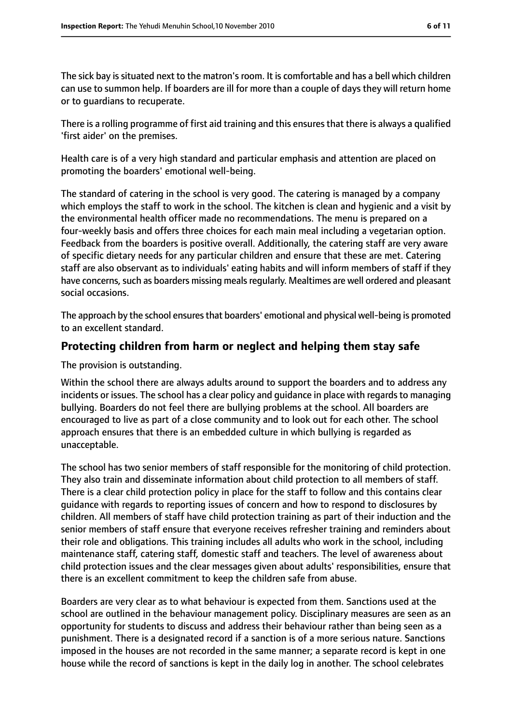The sick bay is situated next to the matron's room. It is comfortable and has a bell which children can use to summon help. If boarders are ill for more than a couple of days they will return home or to guardians to recuperate.

There is a rolling programme of first aid training and this ensuresthat there is always a qualified 'first aider' on the premises.

Health care is of a very high standard and particular emphasis and attention are placed on promoting the boarders' emotional well-being.

The standard of catering in the school is very good. The catering is managed by a company which employs the staff to work in the school. The kitchen is clean and hygienic and a visit by the environmental health officer made no recommendations. The menu is prepared on a four-weekly basis and offers three choices for each main meal including a vegetarian option. Feedback from the boarders is positive overall. Additionally, the catering staff are very aware of specific dietary needs for any particular children and ensure that these are met. Catering staff are also observant as to individuals' eating habits and will inform members of staff if they have concerns, such as boarders missing meals regularly. Mealtimes are well ordered and pleasant social occasions.

The approach by the school ensures that boarders' emotional and physical well-being is promoted to an excellent standard.

#### **Protecting children from harm or neglect and helping them stay safe**

The provision is outstanding.

Within the school there are always adults around to support the boarders and to address any incidents or issues. The school has a clear policy and guidance in place with regards to managing bullying. Boarders do not feel there are bullying problems at the school. All boarders are encouraged to live as part of a close community and to look out for each other. The school approach ensures that there is an embedded culture in which bullying is regarded as unacceptable.

The school has two senior members of staff responsible for the monitoring of child protection. They also train and disseminate information about child protection to all members of staff. There is a clear child protection policy in place for the staff to follow and this contains clear guidance with regards to reporting issues of concern and how to respond to disclosures by children. All members of staff have child protection training as part of their induction and the senior members of staff ensure that everyone receives refresher training and reminders about their role and obligations. This training includes all adults who work in the school, including maintenance staff, catering staff, domestic staff and teachers. The level of awareness about child protection issues and the clear messages given about adults' responsibilities, ensure that there is an excellent commitment to keep the children safe from abuse.

Boarders are very clear as to what behaviour is expected from them. Sanctions used at the school are outlined in the behaviour management policy. Disciplinary measures are seen as an opportunity for students to discuss and address their behaviour rather than being seen as a punishment. There is a designated record if a sanction is of a more serious nature. Sanctions imposed in the houses are not recorded in the same manner; a separate record is kept in one house while the record of sanctions is kept in the daily log in another. The school celebrates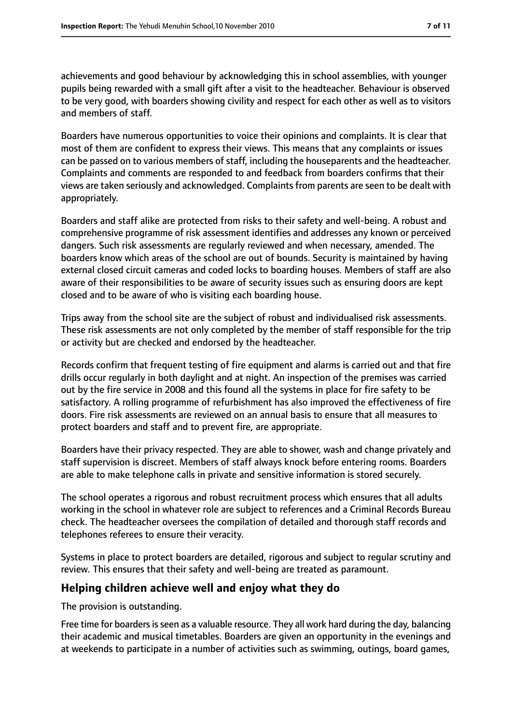achievements and good behaviour by acknowledging this in school assemblies, with younger pupils being rewarded with a small gift after a visit to the headteacher. Behaviour is observed to be very good, with boarders showing civility and respect for each other as well as to visitors and members of staff.

Boarders have numerous opportunities to voice their opinions and complaints. It is clear that most of them are confident to express their views. This means that any complaints or issues can be passed on to various members of staff, including the houseparents and the headteacher. Complaints and comments are responded to and feedback from boarders confirms that their views are taken seriously and acknowledged. Complaints from parents are seen to be dealt with appropriately.

Boarders and staff alike are protected from risks to their safety and well-being. A robust and comprehensive programme of risk assessment identifies and addresses any known or perceived dangers. Such risk assessments are regularly reviewed and when necessary, amended. The boarders know which areas of the school are out of bounds. Security is maintained by having external closed circuit cameras and coded locks to boarding houses. Members of staff are also aware of their responsibilities to be aware of security issues such as ensuring doors are kept closed and to be aware of who is visiting each boarding house.

Trips away from the school site are the subject of robust and individualised risk assessments. These risk assessments are not only completed by the member of staff responsible for the trip or activity but are checked and endorsed by the headteacher.

Records confirm that frequent testing of fire equipment and alarms is carried out and that fire drills occur regularly in both daylight and at night. An inspection of the premises was carried out by the fire service in 2008 and this found all the systems in place for fire safety to be satisfactory. A rolling programme of refurbishment has also improved the effectiveness of fire doors. Fire risk assessments are reviewed on an annual basis to ensure that all measures to protect boarders and staff and to prevent fire, are appropriate.

Boarders have their privacy respected. They are able to shower, wash and change privately and staff supervision is discreet. Members of staff always knock before entering rooms. Boarders are able to make telephone calls in private and sensitive information is stored securely.

The school operates a rigorous and robust recruitment process which ensures that all adults working in the school in whatever role are subject to references and a Criminal Records Bureau check. The headteacher oversees the compilation of detailed and thorough staff records and telephones referees to ensure their veracity.

Systems in place to protect boarders are detailed, rigorous and subject to regular scrutiny and review. This ensures that their safety and well-being are treated as paramount.

#### **Helping children achieve well and enjoy what they do**

The provision is outstanding.

Free time for boarders is seen as a valuable resource. They all work hard during the day, balancing their academic and musical timetables. Boarders are given an opportunity in the evenings and at weekends to participate in a number of activities such as swimming, outings, board games,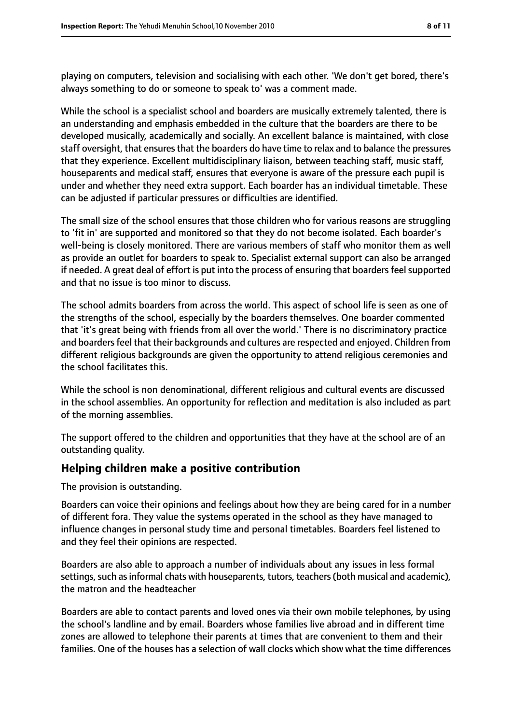playing on computers, television and socialising with each other. 'We don't get bored, there's always something to do or someone to speak to' was a comment made.

While the school is a specialist school and boarders are musically extremely talented, there is an understanding and emphasis embedded in the culture that the boarders are there to be developed musically, academically and socially. An excellent balance is maintained, with close staff oversight, that ensures that the boarders do have time to relax and to balance the pressures that they experience. Excellent multidisciplinary liaison, between teaching staff, music staff, houseparents and medical staff, ensures that everyone is aware of the pressure each pupil is under and whether they need extra support. Each boarder has an individual timetable. These can be adjusted if particular pressures or difficulties are identified.

The small size of the school ensures that those children who for various reasons are struggling to 'fit in' are supported and monitored so that they do not become isolated. Each boarder's well-being is closely monitored. There are various members of staff who monitor them as well as provide an outlet for boarders to speak to. Specialist external support can also be arranged if needed. A great deal of effort is put into the process of ensuring that boarders feel supported and that no issue is too minor to discuss.

The school admits boarders from across the world. This aspect of school life is seen as one of the strengths of the school, especially by the boarders themselves. One boarder commented that 'it's great being with friends from all over the world.' There is no discriminatory practice and boarders feel that their backgrounds and cultures are respected and enjoyed. Children from different religious backgrounds are given the opportunity to attend religious ceremonies and the school facilitates this.

While the school is non denominational, different religious and cultural events are discussed in the school assemblies. An opportunity for reflection and meditation is also included as part of the morning assemblies.

The support offered to the children and opportunities that they have at the school are of an outstanding quality.

#### **Helping children make a positive contribution**

The provision is outstanding.

Boarders can voice their opinions and feelings about how they are being cared for in a number of different fora. They value the systems operated in the school as they have managed to influence changes in personal study time and personal timetables. Boarders feel listened to and they feel their opinions are respected.

Boarders are also able to approach a number of individuals about any issues in less formal settings, such as informal chats with houseparents, tutors, teachers (both musical and academic), the matron and the headteacher

Boarders are able to contact parents and loved ones via their own mobile telephones, by using the school's landline and by email. Boarders whose families live abroad and in different time zones are allowed to telephone their parents at times that are convenient to them and their families. One of the houses has a selection of wall clocks which show what the time differences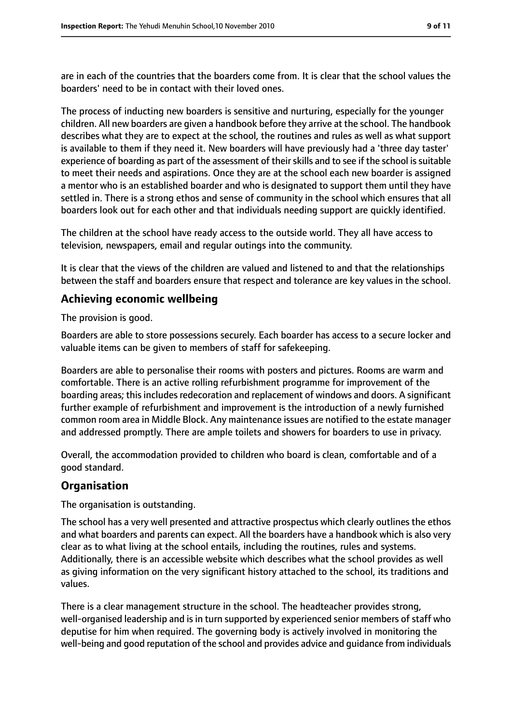are in each of the countries that the boarders come from. It is clear that the school values the boarders' need to be in contact with their loved ones.

The process of inducting new boarders is sensitive and nurturing, especially for the younger children. All new boarders are given a handbook before they arrive at the school. The handbook describes what they are to expect at the school, the routines and rules as well as what support is available to them if they need it. New boarders will have previously had a 'three day taster' experience of boarding as part of the assessment of their skills and to see if the school is suitable to meet their needs and aspirations. Once they are at the school each new boarder is assigned a mentor who is an established boarder and who is designated to support them until they have settled in. There is a strong ethos and sense of community in the school which ensures that all boarders look out for each other and that individuals needing support are quickly identified.

The children at the school have ready access to the outside world. They all have access to television, newspapers, email and regular outings into the community.

It is clear that the views of the children are valued and listened to and that the relationships between the staff and boarders ensure that respect and tolerance are key values in the school.

#### **Achieving economic wellbeing**

The provision is good.

Boarders are able to store possessions securely. Each boarder has access to a secure locker and valuable items can be given to members of staff for safekeeping.

Boarders are able to personalise their rooms with posters and pictures. Rooms are warm and comfortable. There is an active rolling refurbishment programme for improvement of the boarding areas; this includes redecoration and replacement of windows and doors. A significant further example of refurbishment and improvement is the introduction of a newly furnished common room area in Middle Block. Any maintenance issues are notified to the estate manager and addressed promptly. There are ample toilets and showers for boarders to use in privacy.

Overall, the accommodation provided to children who board is clean, comfortable and of a good standard.

#### **Organisation**

The organisation is outstanding.

The school has a very well presented and attractive prospectus which clearly outlines the ethos and what boarders and parents can expect. All the boarders have a handbook which is also very clear as to what living at the school entails, including the routines, rules and systems. Additionally, there is an accessible website which describes what the school provides as well as giving information on the very significant history attached to the school, its traditions and values.

There is a clear management structure in the school. The headteacher provides strong, well-organised leadership and is in turn supported by experienced senior members of staff who deputise for him when required. The governing body is actively involved in monitoring the well-being and good reputation of the school and provides advice and guidance from individuals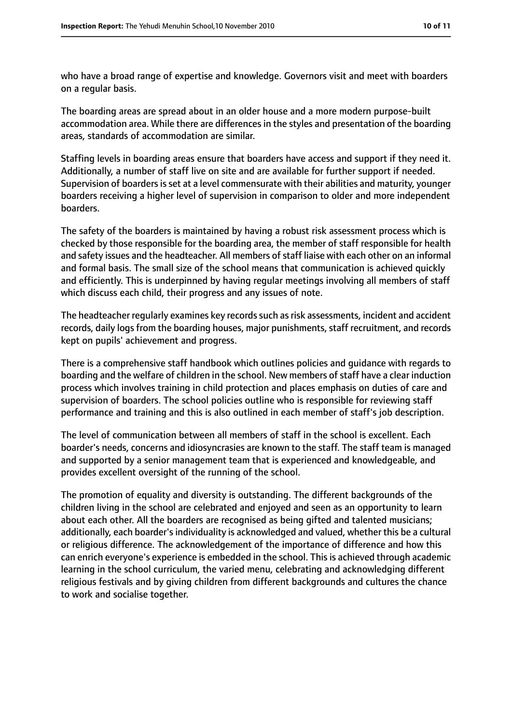who have a broad range of expertise and knowledge. Governors visit and meet with boarders on a regular basis.

The boarding areas are spread about in an older house and a more modern purpose-built accommodation area. While there are differences in the styles and presentation of the boarding areas, standards of accommodation are similar.

Staffing levels in boarding areas ensure that boarders have access and support if they need it. Additionally, a number of staff live on site and are available for further support if needed. Supervision of boarders is set at a level commensurate with their abilities and maturity, younger boarders receiving a higher level of supervision in comparison to older and more independent boarders.

The safety of the boarders is maintained by having a robust risk assessment process which is checked by those responsible for the boarding area, the member of staff responsible for health and safety issues and the headteacher. All members of staff liaise with each other on an informal and formal basis. The small size of the school means that communication is achieved quickly and efficiently. This is underpinned by having regular meetings involving all members of staff which discuss each child, their progress and any issues of note.

The headteacher regularly examines key records such as risk assessments, incident and accident records, daily logs from the boarding houses, major punishments, staff recruitment, and records kept on pupils' achievement and progress.

There is a comprehensive staff handbook which outlines policies and guidance with regards to boarding and the welfare of children in the school. New members of staff have a clear induction process which involves training in child protection and places emphasis on duties of care and supervision of boarders. The school policies outline who is responsible for reviewing staff performance and training and this is also outlined in each member of staff's job description.

The level of communication between all members of staff in the school is excellent. Each boarder's needs, concerns and idiosyncrasies are known to the staff. The staff team is managed and supported by a senior management team that is experienced and knowledgeable, and provides excellent oversight of the running of the school.

The promotion of equality and diversity is outstanding. The different backgrounds of the children living in the school are celebrated and enjoyed and seen as an opportunity to learn about each other. All the boarders are recognised as being gifted and talented musicians; additionally, each boarder's individuality is acknowledged and valued, whether this be a cultural or religious difference. The acknowledgement of the importance of difference and how this can enrich everyone's experience is embedded in the school. This is achieved through academic learning in the school curriculum, the varied menu, celebrating and acknowledging different religious festivals and by giving children from different backgrounds and cultures the chance to work and socialise together.